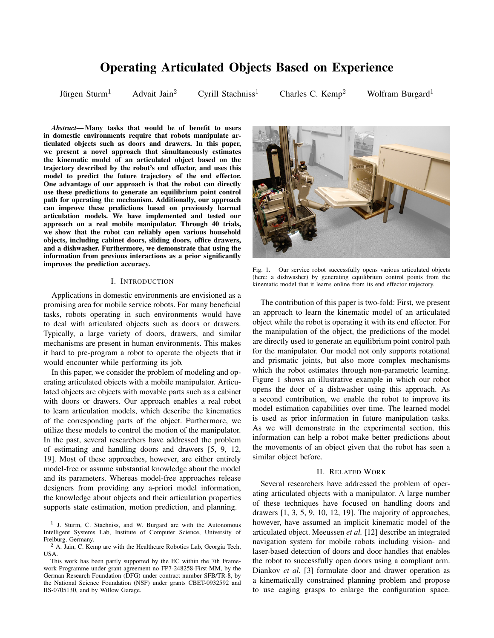# Operating Articulated Objects Based on Experience

Jürgen Sturm<sup>1</sup>

Advait Jain<sup>2</sup> Cyrill Stachniss<sup>1</sup> Charles C. Kemp<sup>2</sup> Wolfram Burgard<sup>1</sup>

*Abstract*— Many tasks that would be of benefit to users in domestic environments require that robots manipulate articulated objects such as doors and drawers. In this paper, we present a novel approach that simultaneously estimates the kinematic model of an articulated object based on the trajectory described by the robot's end effector, and uses this model to predict the future trajectory of the end effector. One advantage of our approach is that the robot can directly use these predictions to generate an equilibrium point control path for operating the mechanism. Additionally, our approach can improve these predictions based on previously learned articulation models. We have implemented and tested our approach on a real mobile manipulator. Through 40 trials, we show that the robot can reliably open various household objects, including cabinet doors, sliding doors, office drawers, and a dishwasher. Furthermore, we demonstrate that using the information from previous interactions as a prior significantly improves the prediction accuracy.

## I. INTRODUCTION

Applications in domestic environments are envisioned as a promising area for mobile service robots. For many beneficial tasks, robots operating in such environments would have to deal with articulated objects such as doors or drawers. Typically, a large variety of doors, drawers, and similar mechanisms are present in human environments. This makes it hard to pre-program a robot to operate the objects that it would encounter while performing its job.

In this paper, we consider the problem of modeling and operating articulated objects with a mobile manipulator. Articulated objects are objects with movable parts such as a cabinet with doors or drawers. Our approach enables a real robot to learn articulation models, which describe the kinematics of the corresponding parts of the object. Furthermore, we utilize these models to control the motion of the manipulator. In the past, several researchers have addressed the problem of estimating and handling doors and drawers [5, 9, 12, 19]. Most of these approaches, however, are either entirely model-free or assume substantial knowledge about the model and its parameters. Whereas model-free approaches release designers from providing any a-priori model information, the knowledge about objects and their articulation properties supports state estimation, motion prediction, and planning.



Fig. 1. Our service robot successfully opens various articulated objects (here: a dishwasher) by generating equilibrium control points from the kinematic model that it learns online from its end effector trajectory.

The contribution of this paper is two-fold: First, we present an approach to learn the kinematic model of an articulated object while the robot is operating it with its end effector. For the manipulation of the object, the predictions of the model are directly used to generate an equilibrium point control path for the manipulator. Our model not only supports rotational and prismatic joints, but also more complex mechanisms which the robot estimates through non-parametric learning. Figure 1 shows an illustrative example in which our robot opens the door of a dishwasher using this approach. As a second contribution, we enable the robot to improve its model estimation capabilities over time. The learned model is used as prior information in future manipulation tasks. As we will demonstrate in the experimental section, this information can help a robot make better predictions about the movements of an object given that the robot has seen a similar object before.

## II. RELATED WORK

Several researchers have addressed the problem of operating articulated objects with a manipulator. A large number of these techniques have focused on handling doors and drawers [1, 3, 5, 9, 10, 12, 19]. The majority of approaches, however, have assumed an implicit kinematic model of the articulated object. Meeussen *et al.* [12] describe an integrated navigation system for mobile robots including vision- and laser-based detection of doors and door handles that enables the robot to successfully open doors using a compliant arm. Diankov *et al.* [3] formulate door and drawer operation as a kinematically constrained planning problem and propose to use caging grasps to enlarge the configuration space.

<sup>&</sup>lt;sup>1</sup> J. Sturm, C. Stachniss, and W. Burgard are with the Autonomous Intelligent Systems Lab, Institute of Computer Science, University of Freiburg, Germany.

<sup>2</sup> A. Jain, C. Kemp are with the Healthcare Robotics Lab, Georgia Tech, USA.

This work has been partly supported by the EC within the 7th Framework Programme under grant agreement no FP7-248258-First-MM, by the German Research Foundation (DFG) under contract number SFB/TR-8, by the National Science Foundation (NSF) under grants CBET-0932592 and IIS-0705130, and by Willow Garage.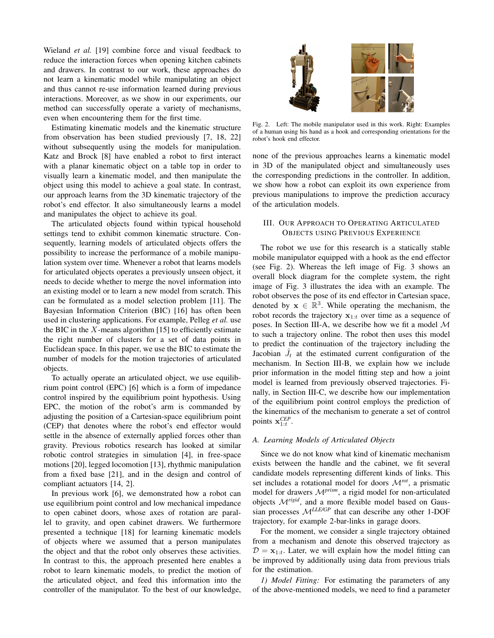Wieland *et al.* [19] combine force and visual feedback to reduce the interaction forces when opening kitchen cabinets and drawers. In contrast to our work, these approaches do not learn a kinematic model while manipulating an object and thus cannot re-use information learned during previous interactions. Moreover, as we show in our experiments, our method can successfully operate a variety of mechanisms, even when encountering them for the first time.

Estimating kinematic models and the kinematic structure from observation has been studied previously [7, 18, 22] without subsequently using the models for manipulation. Katz and Brock [8] have enabled a robot to first interact with a planar kinematic object on a table top in order to visually learn a kinematic model, and then manipulate the object using this model to achieve a goal state. In contrast, our approach learns from the 3D kinematic trajectory of the robot's end effector. It also simultaneously learns a model and manipulates the object to achieve its goal.

The articulated objects found within typical household settings tend to exhibit common kinematic structure. Consequently, learning models of articulated objects offers the possibility to increase the performance of a mobile manipulation system over time. Whenever a robot that learns models for articulated objects operates a previously unseen object, it needs to decide whether to merge the novel information into an existing model or to learn a new model from scratch. This can be formulated as a model selection problem [11]. The Bayesian Information Criterion (BIC) [16] has often been used in clustering applications. For example, Pelleg *et al.* use the BIC in the  $X$ -means algorithm [15] to efficiently estimate the right number of clusters for a set of data points in Euclidean space. In this paper, we use the BIC to estimate the number of models for the motion trajectories of articulated objects.

To actually operate an articulated object, we use equilibrium point control (EPC) [6] which is a form of impedance control inspired by the equilibrium point hypothesis. Using EPC, the motion of the robot's arm is commanded by adjusting the position of a Cartesian-space equilibrium point (CEP) that denotes where the robot's end effector would settle in the absence of externally applied forces other than gravity. Previous robotics research has looked at similar robotic control strategies in simulation [4], in free-space motions [20], legged locomotion [13], rhythmic manipulation from a fixed base [21], and in the design and control of compliant actuators [14, 2].

In previous work [6], we demonstrated how a robot can use equilibrium point control and low mechanical impedance to open cabinet doors, whose axes of rotation are parallel to gravity, and open cabinet drawers. We furthermore presented a technique [18] for learning kinematic models of objects where we assumed that a person manipulates the object and that the robot only observes these activities. In contrast to this, the approach presented here enables a robot to learn kinematic models, to predict the motion of the articulated object, and feed this information into the controller of the manipulator. To the best of our knowledge,



Fig. 2. Left: The mobile manipulator used in this work. Right: Examples of a human using his hand as a hook and corresponding orientations for the robot's hook end effector.

none of the previous approaches learns a kinematic model in 3D of the manipulated object and simultaneously uses the corresponding predictions in the controller. In addition, we show how a robot can exploit its own experience from previous manipulations to improve the prediction accuracy of the articulation models.

# III. OUR APPROACH TO OPERATING ARTICULATED OBJECTS USING PREVIOUS EXPERIENCE

The robot we use for this research is a statically stable mobile manipulator equipped with a hook as the end effector (see Fig. 2). Whereas the left image of Fig. 3 shows an overall block diagram for the complete system, the right image of Fig. 3 illustrates the idea with an example. The robot observes the pose of its end effector in Cartesian space, denoted by  $x \in \mathbb{R}^3$ . While operating the mechanism, the robot records the trajectory  $x_{1:t}$  over time as a sequence of poses. In Section III-A, we describe how we fit a model M to such a trajectory online. The robot then uses this model to predict the continuation of the trajectory including the Jacobian  $\hat{J}_t$  at the estimated current configuration of the mechanism. In Section III-B, we explain how we include prior information in the model fitting step and how a joint model is learned from previously observed trajectories. Finally, in Section III-C, we describe how our implementation of the equilibrium point control employs the prediction of the kinematics of the mechanism to generate a set of control points  $\mathbf{x}_{1:t}^{\text{CEP}}$ .

# *A. Learning Models of Articulated Objects*

Since we do not know what kind of kinematic mechanism exists between the handle and the cabinet, we fit several candidate models representing different kinds of links. This set includes a rotational model for doors M*rot*, a prismatic model for drawers M*prism*, a rigid model for non-articulated objects M*rigid*, and a more flexible model based on Gaussian processes M*LLE/GP* that can describe any other 1-DOF trajectory, for example 2-bar-links in garage doors.

For the moment, we consider a single trajectory obtained from a mechanism and denote this observed trajectory as  $\mathcal{D} = \mathbf{x}_{1:t}$ . Later, we will explain how the model fitting can be improved by additionally using data from previous trials for the estimation.

*1) Model Fitting:* For estimating the parameters of any of the above-mentioned models, we need to find a parameter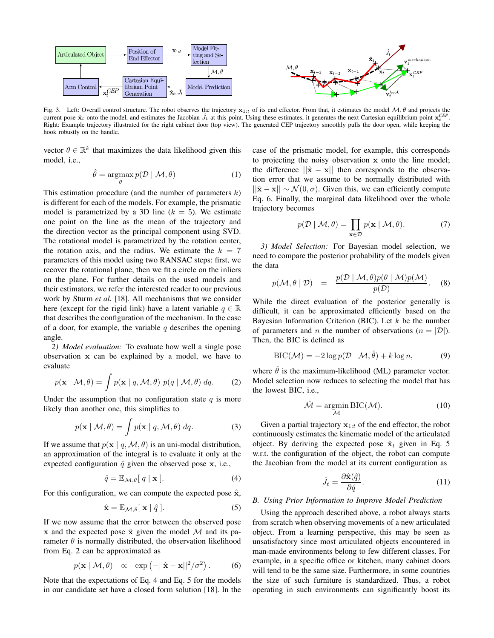

Fig. 3. Left: Overall control structure. The robot observes the trajectory  $x_{1:t}$  of its end effector. From that, it estimates the model  $M$ ,  $\theta$  and projects the current pose  $\hat{\mathbf{x}}_t$  onto the model, and estimates the Jacobian  $\hat{J}_t$  at this point. Using these estimates, it generates the next Cartesian equilibrium point  $\mathbf{x}_t^{CEP}$ . Right: Example trajectory illustrated for the right cabinet door (top view). The generated CEP trajectory smoothly pulls the door open, while keeping the hook robustly on the handle.

vector  $\theta \in \mathbb{R}^k$  that maximizes the data likelihood given this model, i.e.,

$$
\hat{\theta} = \underset{\theta}{\operatorname{argmax}} \, p(\mathcal{D} \mid \mathcal{M}, \theta) \tag{1}
$$

This estimation procedure (and the number of parameters  $k$ ) is different for each of the models. For example, the prismatic model is parametrized by a 3D line  $(k = 5)$ . We estimate one point on the line as the mean of the trajectory and the direction vector as the principal component using SVD. The rotational model is parametrized by the rotation center, the rotation axis, and the radius. We estimate the  $k = 7$ parameters of this model using two RANSAC steps: first, we recover the rotational plane, then we fit a circle on the inliers on the plane. For further details on the used models and their estimators, we refer the interested reader to our previous work by Sturm *et al.* [18]. All mechanisms that we consider here (except for the rigid link) have a latent variable  $q \in \mathbb{R}$ that describes the configuration of the mechanism. In the case of a door, for example, the variable  $q$  describes the opening angle.

*2) Model evaluation:* To evaluate how well a single pose observation x can be explained by a model, we have to evaluate

$$
p(\mathbf{x} \mid \mathcal{M}, \theta) = \int p(\mathbf{x} \mid q, \mathcal{M}, \theta) \ p(q \mid \mathcal{M}, \theta) \ dq. \tag{2}
$$

Under the assumption that no configuration state  $q$  is more likely than another one, this simplifies to

$$
p(\mathbf{x} \mid \mathcal{M}, \theta) = \int p(\mathbf{x} \mid q, \mathcal{M}, \theta) dq.
$$
 (3)

If we assume that  $p(x | q, M, \theta)$  is an uni-modal distribution, an approximation of the integral is to evaluate it only at the expected configuration  $\hat{q}$  given the observed pose x, i.e.,

$$
\hat{q} = \mathbb{E}_{\mathcal{M}, \theta}[\ q \mid \mathbf{x}]. \tag{4}
$$

For this configuration, we can compute the expected pose  $\hat{x}$ ,

$$
\hat{\mathbf{x}} = \mathbb{E}_{\mathcal{M}, \theta}[\mathbf{x} \mid \hat{q}]. \tag{5}
$$

If we now assume that the error between the observed pose x and the expected pose  $\hat{x}$  given the model M and its parameter  $\theta$  is normally distributed, the observation likelihood from Eq. 2 can be approximated as

$$
p(\mathbf{x} \mid \mathcal{M}, \theta) \propto \exp(-||\hat{\mathbf{x}} - \mathbf{x}||^2/\sigma^2).
$$
 (6)

Note that the expectations of Eq. 4 and Eq. 5 for the models in our candidate set have a closed form solution [18]. In the case of the prismatic model, for example, this corresponds to projecting the noisy observation x onto the line model; the difference  $||\hat{x} - x||$  then corresponds to the observation error that we assume to be normally distributed with  $||\hat{\mathbf{x}} - \mathbf{x}|| \sim \mathcal{N}(0, \sigma)$ . Given this, we can efficiently compute Eq. 6. Finally, the marginal data likelihood over the whole trajectory becomes

$$
p(\mathcal{D} \mid \mathcal{M}, \theta) = \prod_{\mathbf{x} \in \mathcal{D}} p(\mathbf{x} \mid \mathcal{M}, \theta).
$$
 (7)

*3) Model Selection:* For Bayesian model selection, we need to compare the posterior probability of the models given the data

$$
p(\mathcal{M}, \theta | \mathcal{D}) = \frac{p(\mathcal{D} | \mathcal{M}, \theta) p(\theta | \mathcal{M}) p(\mathcal{M})}{p(\mathcal{D})}.
$$
 (8)

While the direct evaluation of the posterior generally is difficult, it can be approximated efficiently based on the Bayesian Information Criterion (BIC). Let  $k$  be the number of parameters and *n* the number of observations  $(n = |\mathcal{D}|)$ . Then, the BIC is defined as

$$
\text{BIC}(\mathcal{M}) = -2\log p(\mathcal{D} \mid \mathcal{M}, \hat{\theta}) + k\log n,\tag{9}
$$

where  $\hat{\theta}$  is the maximum-likelihood (ML) parameter vector. Model selection now reduces to selecting the model that has the lowest BIC, i.e.,

$$
\hat{\mathcal{M}} = \underset{\mathcal{M}}{\operatorname{argmin}} \,\text{BIC}(\mathcal{M}).\tag{10}
$$

Given a partial trajectory  $x_{1:t}$  of the end effector, the robot continuously estimates the kinematic model of the articulated object. By deriving the expected pose  $\hat{\mathbf{x}}_t$  given in Eq. 5 w.r.t. the configuration of the object, the robot can compute the Jacobian from the model at its current configuration as

$$
\hat{J}_t = \frac{\partial \hat{\mathbf{x}}(\hat{q})}{\partial \hat{q}}.\tag{11}
$$

## *B. Using Prior Information to Improve Model Prediction*

Using the approach described above, a robot always starts from scratch when observing movements of a new articulated object. From a learning perspective, this may be seen as unsatisfactory since most articulated objects encountered in man-made environments belong to few different classes. For example, in a specific office or kitchen, many cabinet doors will tend to be the same size. Furthermore, in some countries the size of such furniture is standardized. Thus, a robot operating in such environments can significantly boost its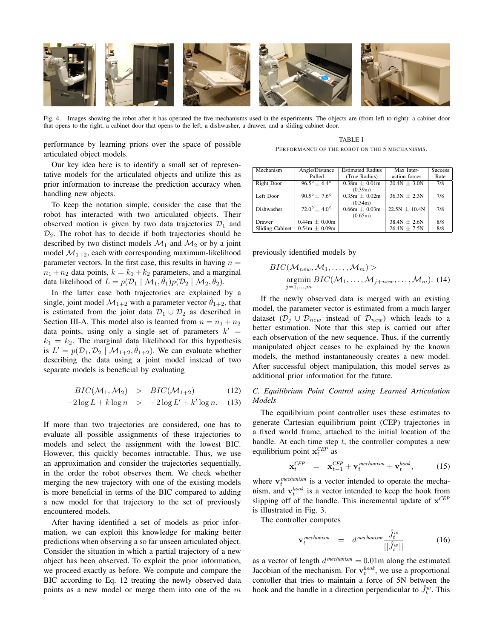

Fig. 4. Images showing the robot after it has operated the five mechanisms used in the experiments. The objects are (from left to right): a cabinet door that opens to the right, a cabinet door that opens to the left, a dishwasher, a drawer, and a sliding cabinet door.

performance by learning priors over the space of possible articulated object models.

TABLE I PERFORMANCE OF THE ROBOT ON THE 5 MECHANISMS.

Our key idea here is to identify a small set of representative models for the articulated objects and utilize this as prior information to increase the prediction accuracy when handling new objects.

To keep the notation simple, consider the case that the robot has interacted with two articulated objects. Their observed motion is given by two data trajectories  $\mathcal{D}_1$  and  $\mathcal{D}_2$ . The robot has to decide if both trajectories should be described by two distinct models  $\mathcal{M}_1$  and  $\mathcal{M}_2$  or by a joint model  $\mathcal{M}_{1+2}$ , each with corresponding maximum-likelihood parameter vectors. In the first case, this results in having  $n =$  $n_1 + n_2$  data points,  $k = k_1 + k_2$  parameters, and a marginal data likelihood of  $L = p(\mathcal{D}_1 \mid \mathcal{M}_1, \hat{\theta}_1)p(\mathcal{D}_2 \mid \mathcal{M}_2, \hat{\theta}_2)$ .

In the latter case both trajectories are explained by a single, joint model  $\mathcal{M}_{1+2}$  with a parameter vector  $\hat{\theta}_{1+2}$ , that is estimated from the joint data  $\mathcal{D}_1 \cup \mathcal{D}_2$  as described in Section III-A. This model also is learned from  $n = n_1 + n_2$ data points, using only a single set of parameters  $k' =$  $k_1 = k_2$ . The marginal data likelihood for this hypothesis is  $L' = p(\mathcal{D}_1, \mathcal{D}_2 | \mathcal{M}_{1+2}, \hat{\theta}_{1+2})$ . We can evaluate whether describing the data using a joint model instead of two separate models is beneficial by evaluating

$$
BIC(\mathcal{M}_1, \mathcal{M}_2) > BIC(\mathcal{M}_{1+2}) \tag{12}
$$

$$
-2\log L + k\log n \quad > \quad -2\log L' + k'\log n. \tag{13}
$$

If more than two trajectories are considered, one has to evaluate all possible assignments of these trajectories to models and select the assignment with the lowest BIC. However, this quickly becomes intractable. Thus, we use an approximation and consider the trajectories sequentially, in the order the robot observes them. We check whether merging the new trajectory with one of the existing models is more beneficial in terms of the BIC compared to adding a new model for that trajectory to the set of previously encountered models.

After having identified a set of models as prior information, we can exploit this knowledge for making better predictions when observing a so far unseen articulated object. Consider the situation in which a partial trajectory of a new object has been observed. To exploit the prior information, we proceed exactly as before. We compute and compare the BIC according to Eq. 12 treating the newly observed data points as a new model or merge them into one of the m

| Mechanism       | Angle/Distance                 | <b>Estimated Radius</b> | Max Inter-        | <b>Success</b> |
|-----------------|--------------------------------|-------------------------|-------------------|----------------|
|                 | Pulled                         | (True Radius)           | action forces     | Rate           |
| Right Door      | $96.5^{\circ} \pm 6.4^{\circ}$ | $0.38m + 0.01m$         | $20.4N \pm 3.0N$  | 7/8            |
|                 |                                | (0.39m)                 |                   |                |
| Left Door       | $90.5^{\circ}+7.6^{\circ}$     | $0.35m \pm 0.02m$       | $36.3N \pm 2.3N$  | 7/8            |
|                 |                                | (0.34m)                 |                   |                |
| Dishwasher      | $72.0^{\circ}+4.0^{\circ}$     | $0.66m \pm 0.03m$       | $22.5N \pm 10.4N$ | 7/8            |
|                 |                                | (0.65m)                 |                   |                |
| Drawer          | $0.44m \pm 0.00m$              |                         | $38.4N \pm 2.6N$  | 8/8            |
| Sliding Cabinet | $0.54m \pm 0.09m$              |                         | $26.4N \pm 7.5N$  | 8/8            |

previously identified models by

$$
BIC(\mathcal{M}_{new}, \mathcal{M}_1, \dots, \mathcal{M}_m) >
$$
  
argmin 
$$
BIC(\mathcal{M}_1, \dots, \mathcal{M}_{j+new}, \dots, \mathcal{M}_m).
$$
 (14)

If the newly observed data is merged with an existing model, the parameter vector is estimated from a much larger dataset ( $\mathcal{D}_j \cup \mathcal{D}_{new}$  instead of  $\mathcal{D}_{new}$ ) which leads to a better estimation. Note that this step is carried out after each observation of the new sequence. Thus, if the currently manipulated object ceases to be explained by the known models, the method instantaneously creates a new model. After successful object manipulation, this model serves as additional prior information for the future.

# *C. Equilibrium Point Control using Learned Articulation Models*

The equilibrium point controller uses these estimates to generate Cartesian equilibrium point (CEP) trajectories in a fixed world frame, attached to the initial location of the handle. At each time step  $t$ , the controller computes a new equilibrium point  $\mathbf{x}_t^{CEP}$  as

$$
\mathbf{x}_t^{CEP} = \mathbf{x}_{t-1}^{CEP} + \mathbf{v}_t^{mechanism} + \mathbf{v}_t^{hook}, \quad (15)
$$

where  $\mathbf{v}_t^{mechanism}$  is a vector intended to operate the mechanism, and  $v_t^{hook}$  is a vector intended to keep the hook from slipping off of the handle. This incremental update of x *CEP* is illustrated in Fig. 3.

The controller computes

$$
\mathbf{v}_t^{\text{mechanism}} = d^{\text{mechanism}} \frac{\hat{J}_t^w}{||\hat{J}_t^w||} \tag{16}
$$

as a vector of length  $d^{mechanism} = 0.01$ m along the estimated Jacobian of the mechanism. For  $\mathbf{v}_t^{hook}$ , we use a proportional contoller that tries to maintain a force of 5N between the hook and the handle in a direction perpendicular to  $\hat{J}_t^w$ . This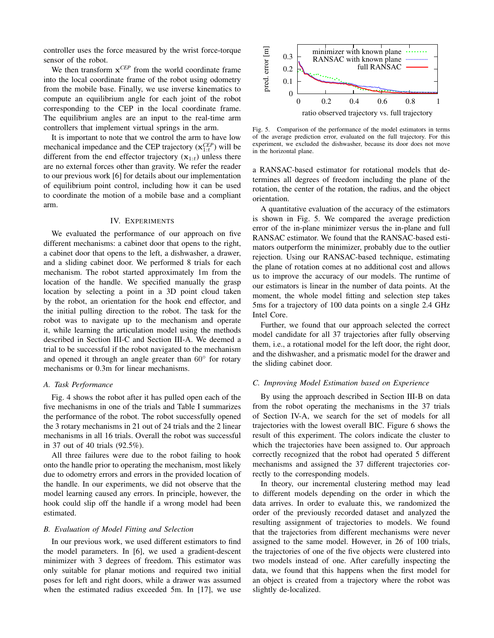controller uses the force measured by the wrist force-torque sensor of the robot.

We then transform x *CEP* from the world coordinate frame into the local coordinate frame of the robot using odometry from the mobile base. Finally, we use inverse kinematics to compute an equilibrium angle for each joint of the robot corresponding to the CEP in the local coordinate frame. The equilibrium angles are an input to the real-time arm controllers that implement virtual springs in the arm.

It is important to note that we control the arm to have low mechanical impedance and the CEP trajectory  $(\mathbf{x}_{1:t}^{CEP})$  will be different from the end effector trajectory  $(x_{1:t})$  unless there are no external forces other than gravity. We refer the reader to our previous work [6] for details about our implementation of equilibrium point control, including how it can be used to coordinate the motion of a mobile base and a compliant arm.

### IV. EXPERIMENTS

We evaluated the performance of our approach on five different mechanisms: a cabinet door that opens to the right, a cabinet door that opens to the left, a dishwasher, a drawer, and a sliding cabinet door. We performed 8 trials for each mechanism. The robot started approximately 1m from the location of the handle. We specified manually the grasp location by selecting a point in a 3D point cloud taken by the robot, an orientation for the hook end effector, and the initial pulling direction to the robot. The task for the robot was to navigate up to the mechanism and operate it, while learning the articulation model using the methods described in Section III-C and Section III-A. We deemed a trial to be successful if the robot navigated to the mechanism and opened it through an angle greater than 60° for rotary mechanisms or 0.3m for linear mechanisms.

### *A. Task Performance*

Fig. 4 shows the robot after it has pulled open each of the five mechanisms in one of the trials and Table I summarizes the performance of the robot. The robot successfully opened the 3 rotary mechanisms in 21 out of 24 trials and the 2 linear mechanisms in all 16 trials. Overall the robot was successful in 37 out of 40 trials (92.5%).

All three failures were due to the robot failing to hook onto the handle prior to operating the mechanism, most likely due to odometry errors and errors in the provided location of the handle. In our experiments, we did not observe that the model learning caused any errors. In principle, however, the hook could slip off the handle if a wrong model had been estimated.

#### *B. Evaluation of Model Fitting and Selection*

In our previous work, we used different estimators to find the model parameters. In [6], we used a gradient-descent minimizer with 3 degrees of freedom. This estimator was only suitable for planar motions and required two initial poses for left and right doors, while a drawer was assumed when the estimated radius exceeded 5m. In [17], we use



Fig. 5. Comparison of the performance of the model estimators in terms of the average prediction error, evaluated on the full trajectory. For this experiment, we excluded the dishwasher, because its door does not move in the horizontal plane.

a RANSAC-based estimator for rotational models that determines all degrees of freedom including the plane of the rotation, the center of the rotation, the radius, and the object orientation.

A quantitative evaluation of the accuracy of the estimators is shown in Fig. 5. We compared the average prediction error of the in-plane minimizer versus the in-plane and full RANSAC estimator. We found that the RANSAC-based estimators outperform the minimizer, probably due to the outlier rejection. Using our RANSAC-based technique, estimating the plane of rotation comes at no additional cost and allows us to improve the accuracy of our models. The runtime of our estimators is linear in the number of data points. At the moment, the whole model fitting and selection step takes 5ms for a trajectory of 100 data points on a single 2.4 GHz Intel Core.

Further, we found that our approach selected the correct model candidate for all 37 trajectories after fully observing them, i.e., a rotational model for the left door, the right door, and the dishwasher, and a prismatic model for the drawer and the sliding cabinet door.

#### *C. Improving Model Estimation based on Experience*

By using the approach described in Section III-B on data from the robot operating the mechanisms in the 37 trials of Section IV-A, we search for the set of models for all trajectories with the lowest overall BIC. Figure 6 shows the result of this experiment. The colors indicate the cluster to which the trajectories have been assigned to. Our approach correctly recognized that the robot had operated 5 different mechanisms and assigned the 37 different trajectories correctly to the corresponding models.

In theory, our incremental clustering method may lead to different models depending on the order in which the data arrives. In order to evaluate this, we randomized the order of the previously recorded dataset and analyzed the resulting assignment of trajectories to models. We found that the trajectories from different mechanisms were never assigned to the same model. However, in 26 of 100 trials, the trajectories of one of the five objects were clustered into two models instead of one. After carefully inspecting the data, we found that this happens when the first model for an object is created from a trajectory where the robot was slightly de-localized.